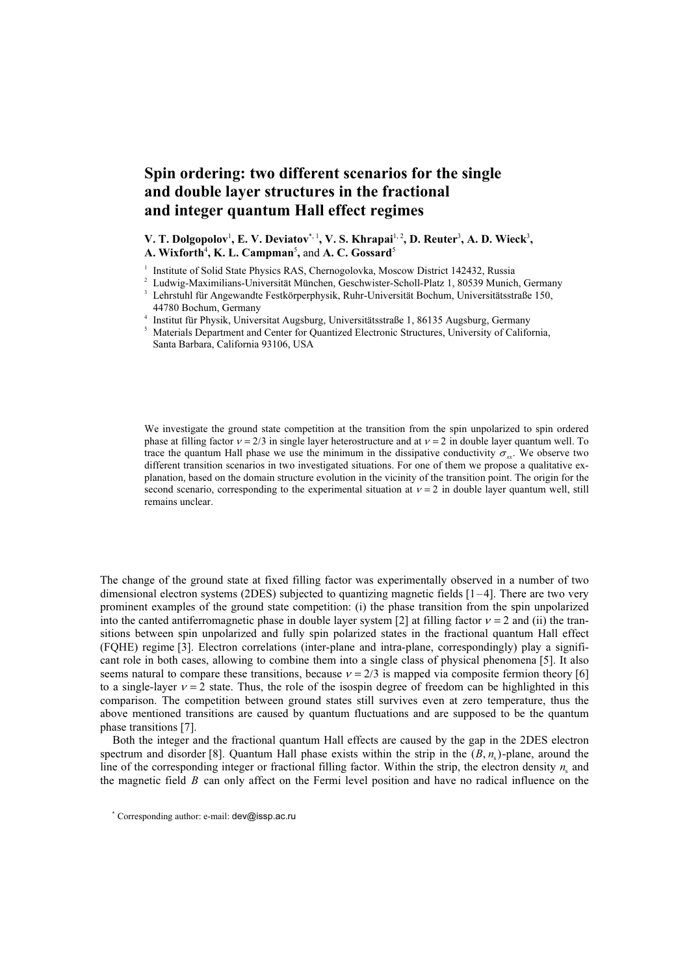## Spin ordering: two different scenarios for the single and double layer structures in the fractional and integer quantum Hall effect regimes

V. T. Dolgopolov<sup>1</sup>, E. V. Deviatov<sup>\*, 1</sup>, V. S. Khrapai<sup>1, 2</sup>, D. Reuter<sup>3</sup>, A. D. Wieck<sup>3</sup>, A. Wixforth<sup>4</sup>, K. L. Campman<sup>5</sup>, and A. C. Gossard<sup>5</sup>

<sup>1</sup> Institute of Solid State Physics RAS, Chernogolovka, Moscow District 142432, Russia

<sup>2</sup> Ludwig-Maximilians-Universität München, Geschwister-Scholl-Platz 1, 80539 Munich, Germany

<sup>3</sup> Lehrstuhl für Angewandte Festkörperphysik, Ruhr-Universität Bochum, Universitätsstraße 150, 44780 Bochum, Germany

4 Institut für Physik, Universitat Augsburg, Universitätsstraße 1, 86135 Augsburg, Germany

<sup>5</sup> Materials Department and Center for Quantized Electronic Structures, University of California, Santa Barbara, California 93106, USA

We investigate the ground state competition at the transition from the spin unpolarized to spin ordered phase at filling factor  $v = 2/3$  in single layer heterostructure and at  $v = 2$  in double layer quantum well. To trace the quantum Hall phase we use the minimum in the dissipative conductivity  $\sigma$ . We observe two different transition scenarios in two investigated situations. For one of them we propose a qualitative explanation, based on the domain structure evolution in the vicinity of the transition point. The origin for the second scenario, corresponding to the experimental situation at  $v = 2$  in double layer quantum well, still remains unclear.

The change of the ground state at fixed filling factor was experimentally observed in a number of two dimensional electron systems (2DES) subjected to quantizing magnetic fields [1–4]. There are two very prominent examples of the ground state competition: (i) the phase transition from the spin unpolarized into the canted antiferromagnetic phase in double layer system [2] at filling factor  $v = 2$  and (ii) the transitions between spin unpolarized and fully spin polarized states in the fractional quantum Hall effect (FQHE) regime [3]. Electron correlations (inter-plane and intra-plane, correspondingly) play a significant role in both cases, allowing to combine them into a single class of physical phenomena [5]. It also seems natural to compare these transitions, because  $v = 2/3$  is mapped via composite fermion theory [6] to a single-layer  $v = 2$  state. Thus, the role of the isospin degree of freedom can be highlighted in this comparison. The competition between ground states still survives even at zero temperature, thus the above mentioned transitions are caused by quantum fluctuations and are supposed to be the quantum phase transitions [7].

Both the integer and the fractional quantum Hall effects are caused by the gap in the 2DES electron spectrum and disorder [8]. Quantum Hall phase exists within the strip in the  $(B, n_s)$ -plane, around the line of the corresponding integer or fractional filling factor. Within the strip, the electron density *n<sup>s</sup>* and the magnetic field *B* can only affect on the Fermi level position and have no radical influence on the

*\** Corresponding author: e-mail: dev@issp.ac.ru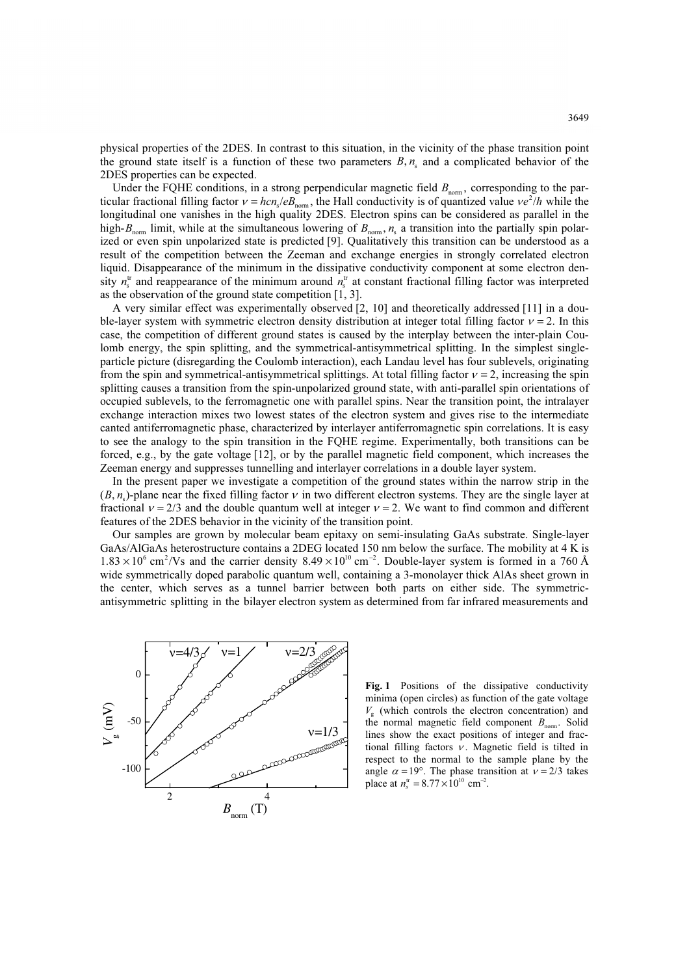physical properties of the 2DES. In contrast to this situation, in the vicinity of the phase transition point the ground state itself is a function of these two parameters  $B, n_s$  and a complicated behavior of the 2DES properties can be expected.

Under the FQHE conditions, in a strong perpendicular magnetic field  $B_{\text{norm}}$ , corresponding to the par-Under the FQHE conditions, in a strong perpendicular magnetic rield  $B_{\text{norm}}$ , corresponding to the particular fractional filling factor  $v = \frac{hc}{e^2/h}$  while the longitudinal one vanishes in the high quality 2DES. Electron spins can be considered as parallel in the high- $B_{\text{nom}}$  limit, while at the simultaneous lowering of  $B_{\text{norm}}$ ,  $n_s$  a transition into the partially spin polarized or even spin unpolarized state is predicted [9]. Qualitatively this transition can be understood as a result of the competition between the Zeeman and exchange energies in strongly correlated electron liquid. Disappearance of the minimum in the dissipative conductivity component at some electron density  $n_s^{\text{tr}}$  and reappearance of the minimum around  $n_s^{\text{tr}}$  at constant fractional filling factor was interpreted as the observation of the ground state competition [1, 3].

A very similar effect was experimentally observed [2, 10] and theoretically addressed [11] in a double-layer system with symmetric electron density distribution at integer total filling factor  $v = 2$ . In this case, the competition of different ground states is caused by the interplay between the inter-plain Coulomb energy, the spin splitting, and the symmetrical-antisymmetrical splitting. In the simplest singleparticle picture (disregarding the Coulomb interaction), each Landau level has four sublevels, originating from the spin and symmetrical-antisymmetrical splittings. At total filling factor  $v = 2$ , increasing the spin splitting causes a transition from the spin-unpolarized ground state, with anti-parallel spin orientations of occupied sublevels, to the ferromagnetic one with parallel spins. Near the transition point, the intralayer exchange interaction mixes two lowest states of the electron system and gives rise to the intermediate canted antiferromagnetic phase, characterized by interlayer antiferromagnetic spin correlations. It is easy to see the analogy to the spin transition in the FQHE regime. Experimentally, both transitions can be forced, e.g., by the gate voltage [12], or by the parallel magnetic field component, which increases the Zeeman energy and suppresses tunnelling and interlayer correlations in a double layer system.

In the present paper we investigate a competition of the ground states within the narrow strip in the  $(B, n<sub>s</sub>)$ -plane near the fixed filling factor v in two different electron systems. They are the single layer at fractional  $v = 2/3$  and the double quantum well at integer  $v = 2$ . We want to find common and different features of the 2DES behavior in the vicinity of the transition point. *-*

Our samples are grown by molecular beam epitaxy on semi-insulating GaAs substrate. Single-layer GaAs/AlGaAs heterostructure contains a 2DEG located 150 nm below the surface. The mobility at 4 K is  $1.83 \times 10^6$  cm<sup>2</sup>/Vs and the carrier density  $8.49 \times 10^{10}$  cm<sup>-2</sup>. Double-layer system is formed in a 760 Å wide symmetrically doped parabolic quantum well, containing a 3-monolayer thick AlAs sheet grown in the center, which serves as a tunnel barrier between both parts on either side. The symmetricantisymmetric splitting in the bilayer electron system as determined from far infrared measurements and



Fig. 1 Positions of the dissipative conductivity minima (open circles) as function of the gate voltage  $V<sub>g</sub>$  (which controls the electron concentration) and the normal magnetic field component  $B_{\text{norm}}$ . Solid lines show the exact positions of integer and fractional filling factors  $v$ . Magnetic field is tilted in respect to the normal to the sample plane by the angle  $\alpha = 19^\circ$ . The phase transition at  $v = 2/3$  takes place at  $n_s^{\text{tr}} = 8.77 \times 10^{10} \text{ cm}^{-2}$ .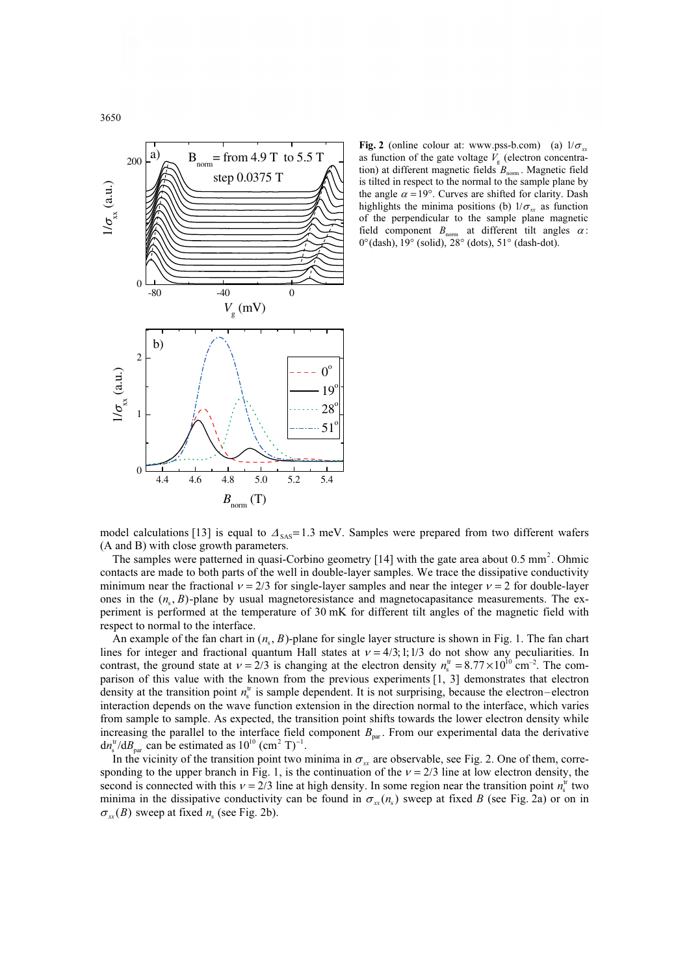

**Fig. 2** (online colour at: www.pss-b.com) (a)  $1/\sigma_{xx}$ <br>as function of the gate voltage V (electron concentraas function of the gate voltage  $\overline{V}_g$  (electron concentra-<br>tion) at different meanwise fields  $P$ tion) at different magnetic fields  $B_{\text{norm}}$ . Magnetic field is tilted in respect to the normal to the sample plane by the angle  $\alpha = 19^\circ$ . Curves are shifted for clarity. Dash highlights the minima positions (b)  $1/\sigma_{xx}$  as function of the perpendicular to the sample plane magnetic field component  $B_{\text{nom}}$  at different tilt angles  $\alpha$ :<br>0°(dash), 19° (solid), 28° (dots), 51° (dash-dot).

model calculations [13] is equal to  $\Delta_{SAS} = 1.3$  meV. Samples were prepared from two different wafers (A and B) with close growth parameters.

The samples were patterned in quasi-Corbino geometry [14] with the gate area about 0.5 mm *2* . Ohmic contacts are made to both parts of the well in double-layer samples. We trace the dissipative conductivity minimum near the fractional  $v = 2/3$  for single-layer samples and near the integer  $v = 2$  for double-layer ones in the  $(n_s, B)$ -plane by usual magnetoresistance and magnetocapasitance measurements. The experiment is performed at the temperature of 30 mK for different tilt angles of the magnetic field with respect to normal to the interface.

An example of the fan chart in  $(n_s, B)$ -plane for single layer structure is shown in Fig. 1. The fan chart lines for integer and fractional quantum Hall states at  $v = 4/3$ ; 1;1/3 do not show any peculiarities. In contrast, the ground state at  $v = 2/3$  is changing at the electron density  $n_s^{\text{tr}} = 8.77 \times 10^{10} \text{ cm}^{-2}$ . The comparison of this value with the known from the previous experiments [1, 3] demonstrates that electron density at the transition point  $n_s^{\text{tr}}$  is sample dependent. It is not surprising, because the electron–electron interaction depends on the wave function extension in the direction normal to the interface, which varies from sample to sample. As expected, the transition point shifts towards the lower electron density while increasing the parallel to the interface field component  $B_{\text{par}}$ . From our experimental data the derivative  $dn_s^{\text{tr}}/dB_{\text{par}}$  can be estimated as  $10^{10}$  (cm<sup>2</sup> T)<sup>-1</sup>.

In the vicinity of the transition point two minima in  $\sigma_{xx}$  are observable, see Fig. 2. One of them, corresponding to the upper branch in Fig. 1, is the continuation of the  $v = 2/3$  line at low electron density, the second is connected with this  $v = 2/3$  line at high density. In some region near the transition point  $n_s^{\text{tr}}$  two minima in the dissipative conductivity can be found in  $\sigma_{xx}(n_s)$  sweep at fixed *B* (see Fig. 2a) or on in  $\sigma_{xx}(B)$  sweep at fixed  $n_s$  (see Fig. 2b).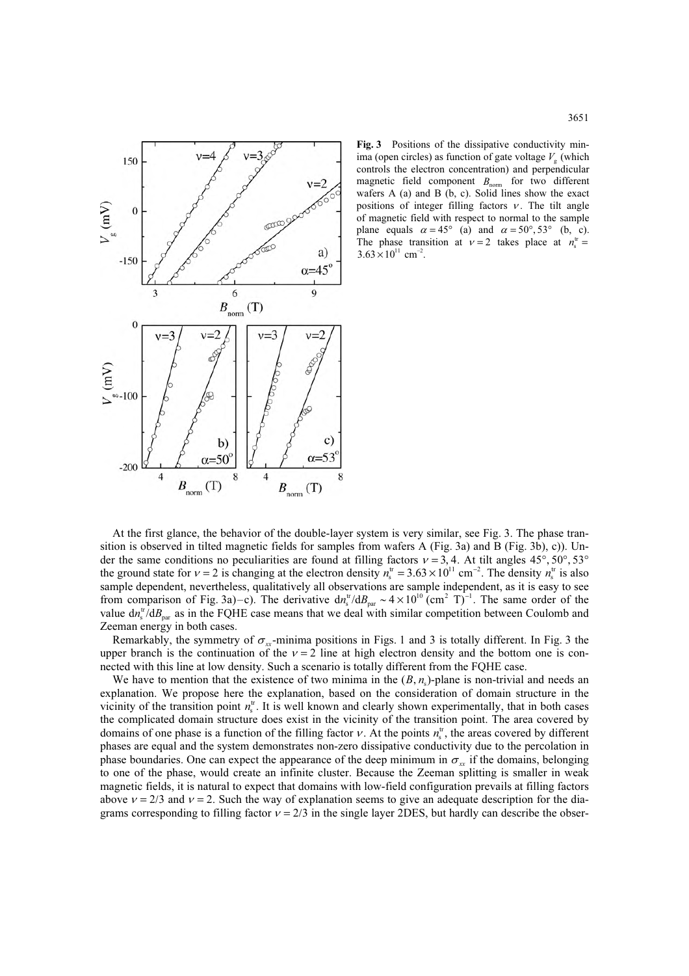

Fig. 3 Positions of the dissipative conductivity minima (open circles) as function of gate voltage  $V_g$  (which controls the electron concentration) and perpendicular magnetic field component  $B_{\text{norm}}$  for two different wafers A (a) and B (b, c). Solid lines show the exact positions of integer filling factors  $v$ . The tilt angle of magnetic field with respect to normal to the sample plane equals  $\alpha = 45^{\circ}$  (a) and  $\alpha = 50^{\circ}, 53^{\circ}$  (b, c). plane equals  $\alpha = 43$  (a) and  $\alpha = 50^{\circ}, 53^{\circ}$  (b, C)<br>The phase transition at  $v = 2$  takes place at  $n_s^{\text{tr}} =$  $3.63 \times 10^{11}$  cm<sup>-2</sup>.

At the first glance, the behavior of the double-layer system is very similar, see Fig. 3. The phase transition is observed in tilted magnetic fields for samples from wafers A (Fig. 3a) and B (Fig. 3b), c)). Under the same conditions no peculiarities are found at filling factors  $v = 3, 4$ . At tilt angles 45°, 50°, 53° der the same conditions no peculiarities are found at filling factors  $v = 3$ , 4. At tilt angles 45°, 50°, 53°<br>the ground state for  $v = 2$  is changing at the electron density  $n_s^{\text{tr}} = 3.63 \times 10^{11} \text{ cm}^{-2}$ . The density sample dependent, nevertheless, qualitatively all observations are sample independent, as it is easy to see sample dependent, nevertheless, qualitatively all observations are sample indeprendent of Fig. 3a)–c). The derivative  $dn_s^{\text{tr}}/dB_{\text{par}} \sim 4 \times 10^{10}$  (cm<sup>2</sup> T) -<sup>1</sup>. The same order of the value  $d n_s^{\text{tr}}/d B_{\text{par}}$  as in the FQHE case means that we deal with similar competition between Coulomb and Zeeman energy in both cases.

Remarkably, the symmetry of  $\sigma_{xx}$ -minima positions in Figs. 1 and 3 is totally different. In Fig. 3 the upper branch is the continuation of the  $v = 2$  line at high electron density and the bottom one is connected with this line at low density. Such a scenario is totally different from the FQHE case.

We have to mention that the existence of two minima in the  $(B, n<sub>s</sub>)$ -plane is non-trivial and needs and explanation. We propose here the explanation, based on the consideration of domain structure in the vicinity of the transition point  $n_s^{\text{tr}}$ . It is well known and clearly shown experimentally, that in both cases the complicated domain structure does exist in the vicinity of the transition point. The area covered by domains of one phase is a function of the filling factor  $v$ . At the points  $n_s^{\text{tr}}$ , the areas covered by different phases are equal and the system demonstrates non-zero dissipative conductivity due to the percolation in phase boundaries. One can expect the appearance of the deep minimum in  $\sigma_{xx}$  if the domains, belonging to one of the phase, would create an infinite cluster. Because the Zeeman splitting is smaller in weak magnetic fields, it is natural to expect that domains with low-field configuration prevails at filling factors above  $v = 2/3$  and  $v = 2$ . Such the way of explanation seems to give an adequate description for the diagrams corresponding to filling factor  $v = 2/3$  in the single layer 2DES, but hardly can describe the obser